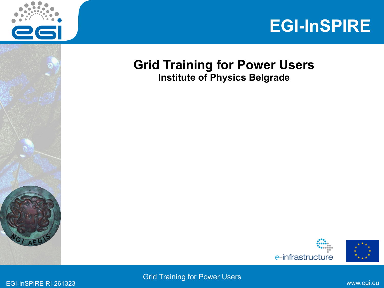







#### EGI-InSPIRE RI-261323 www.egi.eu Grid Training for Power Users

**A E <sup>G</sup>**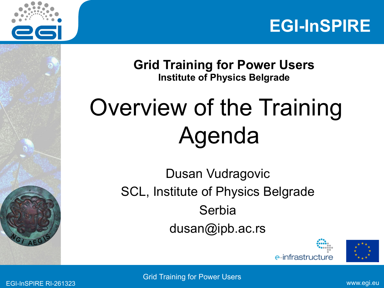



**Grid Training for Power Users Institute of Physics Belgrade** 

# Overview of the Training Agenda

Dusan Vudragovic SCL, Institute of Physics Belgrade Serbia dusan@ipb.ac.rs





EGI-InSPIRE RI-261323 www.egi.eu Grid Training for Power Users

**A E <sup>G</sup>**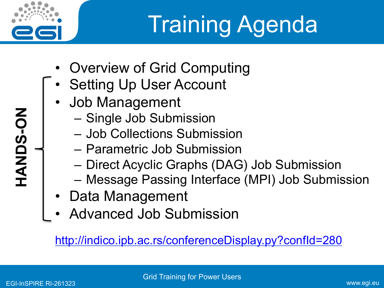

# **Training Agenda**

- Overview of Grid Computing
- **Setting Up User Account**
- Job Management
	- Single Job Submission
	- Job Collections Submission
	- Parametric Job Submission
	- Direct Acyclic Graphs (DAG) Job Submission
	- Message Passing Interface (MPI) Job Submission
- Data Management
- Advanced Job Submission

### http://indico.ipb.ac.rs/conferenceDisplay.py?confId=280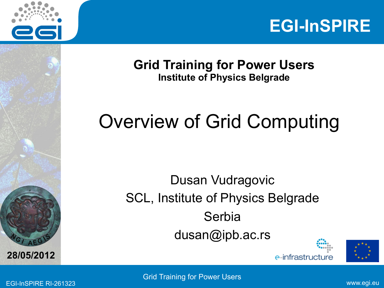



**Grid Training for Power Users Institute of Physics Belgrade** 

### Overview of Grid Computing

Dusan Vudragovic SCL, Institute of Physics Belgrade Serbia dusan@ipb.ac.rs





EGI-InSPIRE RI-261323 www.egi.eu Grid Training for Power Users

**A E <sup>G</sup>**

**28/05/2012**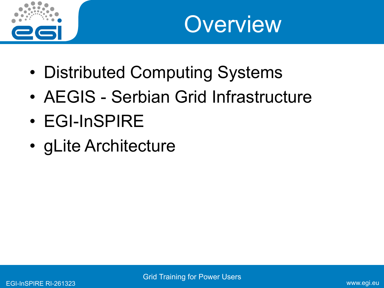



- Distributed Computing Systems
- AEGIS Serbian Grid Infrastructure
- EGI-InSPIRE
- gLite Architecture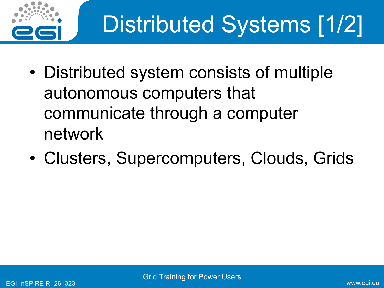

- Distributed system consists of multiple autonomous computers that communicate through a computer network
- Clusters, Supercomputers, Clouds, Grids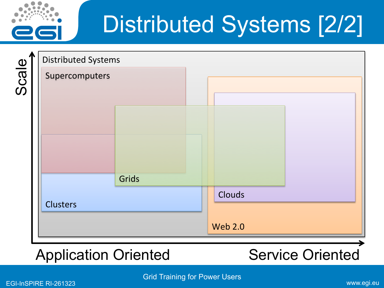

### Distributed Systems [2/2]

Scale



### Application Oriented Service Oriented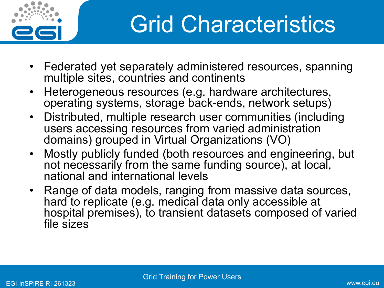

### Grid Characteristics

- Federated yet separately administered resources, spanning multiple sites, countries and continents
- Heterogeneous resources (e.g. hardware architectures, operating systems, storage back-ends, network setups)
- Distributed, multiple research user communities (including users accessing resources from varied administration domains) grouped in Virtual Organizations (VO)
- Mostly publicly funded (both resources and engineering, but not necessarily from the same funding source), at local, national and international levels
- Range of data models, ranging from massive data sources, hard to replicate (e.g. medical data only accessible at hospital premises), to transient datasets composed of varied file sizes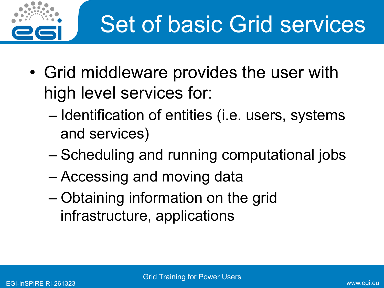

### Set of basic Grid services

- Grid middleware provides the user with high level services for:
	- Identification of entities (i.e. users, systems and services)
	- Scheduling and running computational jobs
	- Accessing and moving data
	- Obtaining information on the grid infrastructure, applications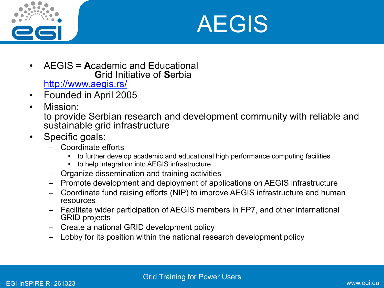



- AEGIS = **A**cademic and **E**ducational **G**rid **I**nitiative of **S**erbia http://www.aegis.rs/
- Founded in April 2005
- Mission:

to provide Serbian research and development community with reliable and sustainable grid infrastructure

- Specific goals:
	- Coordinate efforts
		- to further develop academic and educational high performance computing facilities
		- to help integration into AEGIS infrastructure
	- Organize dissemination and training activities
	- Promote development and deployment of applications on AEGIS infrastructure
	- Coordinate fund raising efforts (NIP) to improve AEGIS infrastructure and human resources
	- Facilitate wider participation of AEGIS members in FP7, and other international GRID projects
	- Create a national GRID development policy
	- Lobby for its position within the national research development policy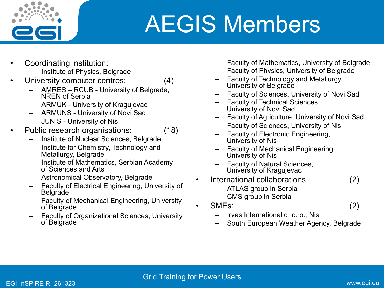

### AEGIS Members

- Coordinating institution:
	- Institute of Physics, Belgrade
- University computer centres: (4)
	- AMRES RCUB University of Belgrade, NREN of Serbia
	- ARMUK University of Kragujevac
	- ARMUNS University of Novi Sad
	- JUNIS University of Nis
- Public research organisations: (18)
	- Institute of Nuclear Sciences, Belgrade
	- Institute for Chemistry, Technology and Metallurgy, Belgrade
	- Institute of Mathematics, Serbian Academy of Sciences and Arts
	- Astronomical Observatory, Belgrade
	- Faculty of Electrical Engineering, University of **Belgrade**
	- Faculty of Mechanical Engineering, University of Belgrade
	- Faculty of Organizational Sciences, University of Belgrade
- Faculty of Mathematics, University of Belgrade
- Faculty of Physics, University of Belgrade
- Faculty of Technology and Metallurgy, University of Belgrade
- Faculty of Sciences, University of Novi Sad
- Faculty of Technical Sciences, University of Novi Sad
- Faculty of Agriculture, University of Novi Sad
- Faculty of Sciences, University of Nis
- Faculty of Electronic Engineering, University of Nis
- Faculty of Mechanical Engineering, University of Nis
- Faculty of Natural Sciences, University of Kragujevac
- International collaborations (2)
	- ATLAS group in Serbia
	- CMS group in Serbia
- SMEs: (2)
	- Irvas International d. o. o., Nis
	- South European Weather Agency, Belgrade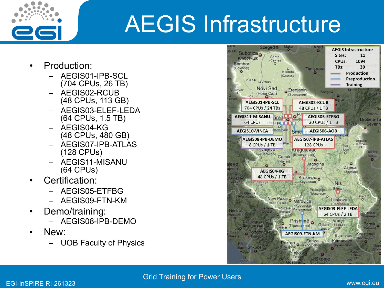

### AEGIS Infrastructure

- Production:
	- AEGIS01-IPB-SCL (704 CPUs, 26 TB)
	- AEGIS02-RCUB (48 CPUs, 113 GB)
	- AEGIS03-ELEF-LEDA (64 CPUs, 1.5 TB)
	- AEGIS04-KG (48 CPUs, 480 GB)
	- AEGIS07-IPB-ATLAS (128 CPUs)
	- AEGIS11-MISANU (64 CPUs)
- Certification:
	- AEGIS05-ETFBG
	- AEGIS09-FTN-KM
- Demo/training:
	- AEGIS08-IPB-DEMO
- New:
	- UOB Faculty of Physics



#### EGI-InSPIRE RI-261323 www.egi.eu Grid Training for Power Users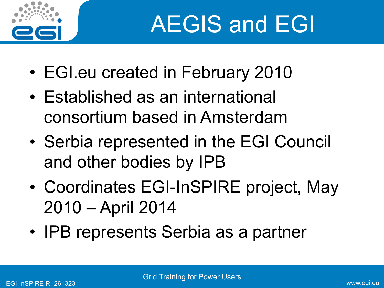

# AEGIS and EGI

- EGI.eu created in February 2010
- Established as an international consortium based in Amsterdam
- Serbia represented in the EGI Council and other bodies by IPB
- Coordinates EGI-InSPIRE project, May 2010 – April 2014
- IPB represents Serbia as a partner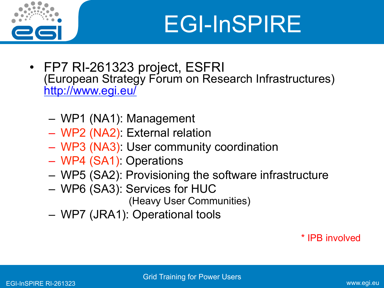

### EGI-InSPIRE

- FP7 RI-261323 project, ESFRI (European Strategy Forum on Research Infrastructures) http://www.egi.eu/
	- WP1 (NA1): Management
	- WP2 (NA2): External relation
	- WP3 (NA3): User community coordination
	- WP4 (SA1): Operations
	- WP5 (SA2): Provisioning the software infrastructure
	- WP6 (SA3): Services for HUC (Heavy User Communities)
		-
	- WP7 (JRA1): Operational tools

#### \* IPB involved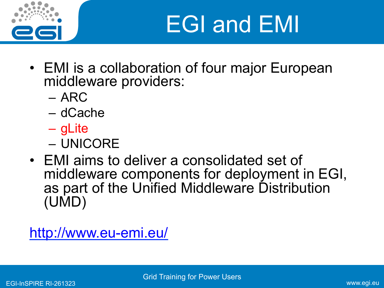

# EGI and EMI

- EMI is a collaboration of four major European middleware providers:
	- ARC
	- dCache
	- gLite
	- UNICORE
- EMI aims to deliver a consolidated set of middleware components for deployment in EGI, as part of the Unified Middleware Distribution (UMD)

### http://www.eu-emi.eu/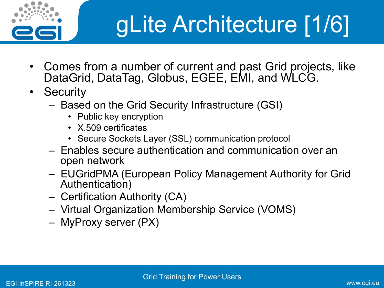

## gLite Architecture [1/6]

- Comes from a number of current and past Grid projects, like DataGrid, DataTag, Globus, EGEE, EMI, and WLCG.
- Security
	- Based on the Grid Security Infrastructure (GSI)
		- Public key encryption
		- X.509 certificates
		- Secure Sockets Layer (SSL) communication protocol
	- Enables secure authentication and communication over an open network
	- EUGridPMA (European Policy Management Authority for Grid Authentication)
	- Certification Authority (CA)
	- Virtual Organization Membership Service (VOMS)
	- MyProxy server (PX)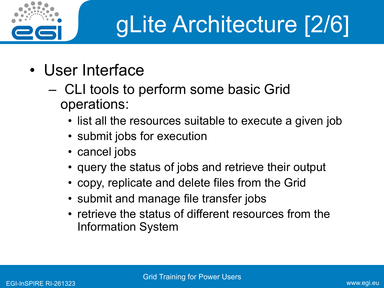

## gLite Architecture [2/6]

- User Interface
	- CLI tools to perform some basic Grid operations:
		- list all the resources suitable to execute a given job
		- submit jobs for execution
		- cancel jobs
		- query the status of jobs and retrieve their output
		- copy, replicate and delete files from the Grid
		- submit and manage file transfer jobs
		- retrieve the status of different resources from the Information System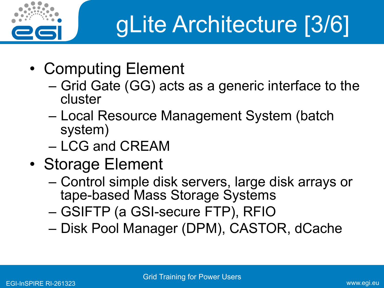

# gLite Architecture [3/6]

- Computing Element
	- Grid Gate (GG) acts as a generic interface to the cluster
	- Local Resource Management System (batch system)
	- LCG and CREAM
- Storage Element
	- Control simple disk servers, large disk arrays or tape-based Mass Storage Systems
	- GSIFTP (a GSI-secure FTP), RFIO
	- Disk Pool Manager (DPM), CASTOR, dCache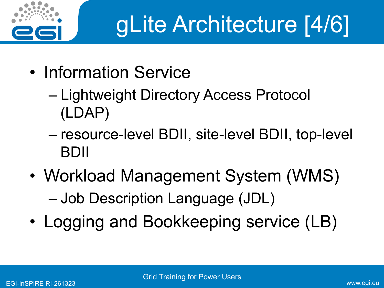

### gLite Architecture [4/6]

- Information Service
	- Lightweight Directory Access Protocol (LDAP)
	- resource-level BDII, site-level BDII, top-level BDII
- Workload Management System (WMS) – Job Description Language (JDL)
- Logging and Bookkeeping service (LB)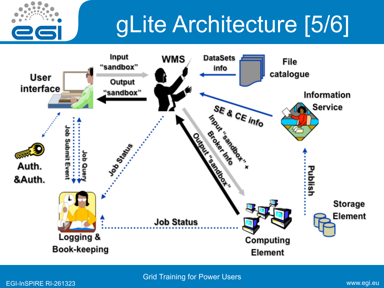### gLite Architecture [5/6]